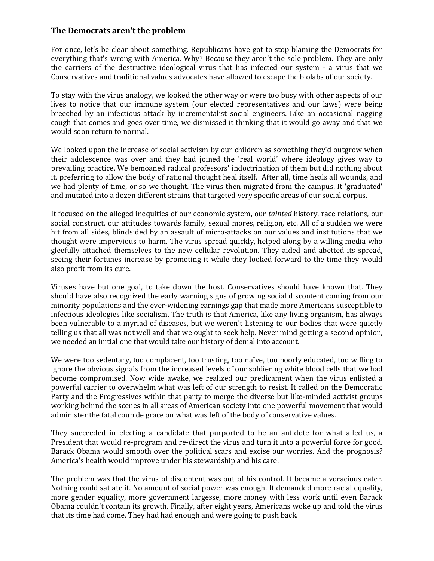## **The Democrats aren't the problem**

For once, let's be clear about something. Republicans have got to stop blaming the Democrats for everything that's wrong with America. Why? Because they aren't the sole problem. They are only the carriers of the destructive ideological virus that has infected our system - a virus that we Conservatives and traditional values advocates have allowed to escape the biolabs of our society.

To stay with the virus analogy, we looked the other way or were too busy with other aspects of our lives to notice that our immune system (our elected representatives and our laws) were being breeched by an infectious attack by incrementalist social engineers. Like an occasional nagging cough that comes and goes over time, we dismissed it thinking that it would go away and that we would soon return to normal.

We looked upon the increase of social activism by our children as something they'd outgrow when their adolescence was over and they had joined the 'real world' where ideology gives way to prevailing practice. We bemoaned radical professors' indoctrination of them but did nothing about it, preferring to allow the body of rational thought heal itself. After all, time heals all wounds, and we had plenty of time, or so we thought. The virus then migrated from the campus. It 'graduated' and mutated into a dozen different strains that targeted very specific areas of our social corpus.

It focused on the alleged inequities of our economic system, our *tainted* history, race relations, our social construct, our attitudes towards family, sexual mores, religion, etc. All of a sudden we were hit from all sides, blindsided by an assault of micro-attacks on our values and institutions that we thought were impervious to harm. The virus spread quickly, helped along by a willing media who gleefully attached themselves to the new cellular revolution. They aided and abetted its spread, seeing their fortunes increase by promoting it while they looked forward to the time they would also profit from its cure.

Viruses have but one goal, to take down the host. Conservatives should have known that. They should have also recognized the early warning signs of growing social discontent coming from our minority populations and the ever-widening earnings gap that made more Americans susceptible to infectious ideologies like socialism. The truth is that America, like any living organism, has always been vulnerable to a myriad of diseases, but we weren't listening to our bodies that were quietly telling us that all was not well and that we ought to seek help. Never mind getting a second opinion, we needed an initial one that would take our history of denial into account.

We were too sedentary, too complacent, too trusting, too naïve, too poorly educated, too willing to ignore the obvious signals from the increased levels of our soldiering white blood cells that we had become compromised. Now wide awake, we realized our predicament when the virus enlisted a powerful carrier to overwhelm what was left of our strength to resist. It called on the Democratic Party and the Progressives within that party to merge the diverse but like-minded activist groups working behind the scenes in all areas of American society into one powerful movement that would administer the fatal coup de grace on what was left of the body of conservative values.

They succeeded in electing a candidate that purported to be an antidote for what ailed us, a President that would re-program and re-direct the virus and turn it into a powerful force for good. Barack Obama would smooth over the political scars and excise our worries. And the prognosis? America's health would improve under his stewardship and his care.

The problem was that the virus of discontent was out of his control. It became a voracious eater. Nothing could satiate it. No amount of social power was enough. It demanded more racial equality, more gender equality, more government largesse, more money with less work until even Barack Obama couldn't contain its growth. Finally, after eight years, Americans woke up and told the virus that its time had come. They had had enough and were going to push back.